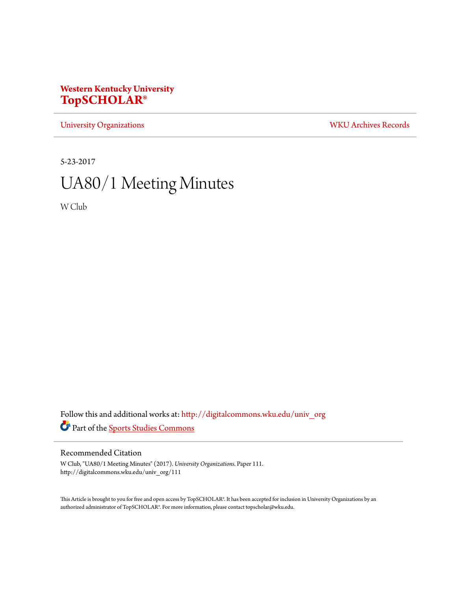# **Western Kentucky University [TopSCHOLAR®](http://digitalcommons.wku.edu?utm_source=digitalcommons.wku.edu%2Funiv_org%2F111&utm_medium=PDF&utm_campaign=PDFCoverPages)**

[University Organizations](http://digitalcommons.wku.edu/univ_org?utm_source=digitalcommons.wku.edu%2Funiv_org%2F111&utm_medium=PDF&utm_campaign=PDFCoverPages) [WKU Archives Records](http://digitalcommons.wku.edu/dlsc_ua_records?utm_source=digitalcommons.wku.edu%2Funiv_org%2F111&utm_medium=PDF&utm_campaign=PDFCoverPages)

5-23-2017

# UA80/1 Meeting Minutes

W Club

Follow this and additional works at: [http://digitalcommons.wku.edu/univ\\_org](http://digitalcommons.wku.edu/univ_org?utm_source=digitalcommons.wku.edu%2Funiv_org%2F111&utm_medium=PDF&utm_campaign=PDFCoverPages) Part of the [Sports Studies Commons](http://network.bepress.com/hgg/discipline/1198?utm_source=digitalcommons.wku.edu%2Funiv_org%2F111&utm_medium=PDF&utm_campaign=PDFCoverPages)

## Recommended Citation

W Club, "UA80/1 Meeting Minutes" (2017). *University Organizations.* Paper 111. http://digitalcommons.wku.edu/univ\_org/111

This Article is brought to you for free and open access by TopSCHOLAR®. It has been accepted for inclusion in University Organizations by an authorized administrator of TopSCHOLAR®. For more information, please contact topscholar@wku.edu.